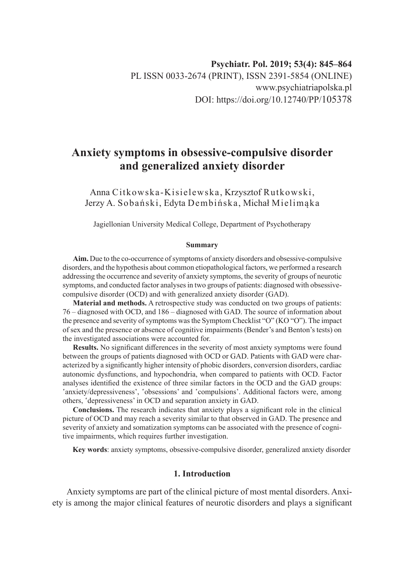# **Anxiety symptoms in obsessive-compulsive disorder and generalized anxiety disorder**

Anna Citkowska-Kisielewska, Krzysztof Rutkowski, Jerzy A. Sobański, Edyta Dembińska, Michał Mielimąka

Jagiellonian University Medical College, Department of Psychotherapy

#### **Summary**

**Aim.** Due to the co-occurrence of symptoms of anxiety disorders and obsessive-compulsive disorders, and the hypothesis about common etiopathological factors, we performed a research addressing the occurrence and severity of anxiety symptoms, the severity of groups of neurotic symptoms, and conducted factor analyses in two groups of patients: diagnosed with obsessivecompulsive disorder (OCD) and with generalized anxiety disorder (GAD).

**Material and methods.** A retrospective study was conducted on two groups of patients: 76 – diagnosed with OCD, and 186 – diagnosed with GAD. The source of information about the presence and severity of symptoms was the Symptom Checklist "O" (KO "O"). The impact of sex and the presence or absence of cognitive impairments (Bender's and Benton's tests) on the investigated associations were accounted for.

**Results.** No significant differences in the severity of most anxiety symptoms were found between the groups of patients diagnosed with OCD or GAD. Patients with GAD were characterized by a significantly higher intensity of phobic disorders, conversion disorders, cardiac autonomic dysfunctions, and hypochondria, when compared to patients with OCD. Factor analyses identified the existence of three similar factors in the OCD and the GAD groups: 'anxiety/depressiveness', 'obsessions' and 'compulsions'. Additional factors were, among others, 'depressiveness' in OCD and separation anxiety in GAD.

**Conclusions.** The research indicates that anxiety plays a significant role in the clinical picture of OCD and may reach a severity similar to that observed in GAD. The presence and severity of anxiety and somatization symptoms can be associated with the presence of cognitive impairments, which requires further investigation.

**Key words**: anxiety symptoms, obsessive-compulsive disorder, generalized anxiety disorder

# **1. Introduction**

Anxiety symptoms are part of the clinical picture of most mental disorders. Anxiety is among the major clinical features of neurotic disorders and plays a significant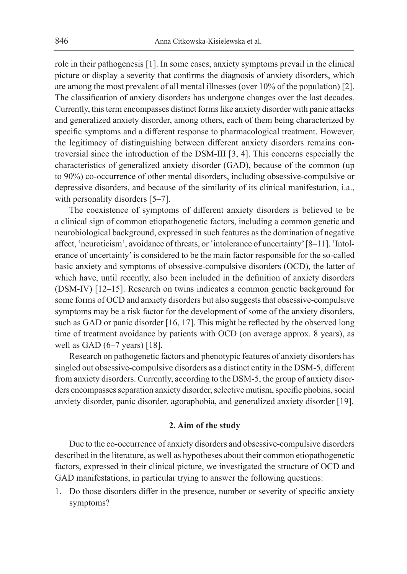role in their pathogenesis [1]. In some cases, anxiety symptoms prevail in the clinical picture or display a severity that confirms the diagnosis of anxiety disorders, which are among the most prevalent of all mental illnesses (over 10% of the population) [2]. The classification of anxiety disorders has undergone changes over the last decades. Currently, this term encompasses distinct forms like anxiety disorder with panic attacks and generalized anxiety disorder, among others, each of them being characterized by specific symptoms and a different response to pharmacological treatment. However, the legitimacy of distinguishing between different anxiety disorders remains controversial since the introduction of the DSM-III [3, 4]. This concerns especially the characteristics of generalized anxiety disorder (GAD), because of the common (up to 90%) co-occurrence of other mental disorders, including obsessive-compulsive or depressive disorders, and because of the similarity of its clinical manifestation, i.a., with personality disorders [5–7].

The coexistence of symptoms of different anxiety disorders is believed to be a clinical sign of common etiopathogenetic factors, including a common genetic and neurobiological background, expressed in such features as the domination of negative affect, 'neuroticism', avoidance of threats, or 'intolerance of uncertainty' [8–11]. 'Intolerance of uncertainty' is considered to be the main factor responsible for the so-called basic anxiety and symptoms of obsessive-compulsive disorders (OCD), the latter of which have, until recently, also been included in the definition of anxiety disorders (DSM-IV) [12–15]. Research on twins indicates a common genetic background for some forms of OCD and anxiety disorders but also suggests that obsessive-compulsive symptoms may be a risk factor for the development of some of the anxiety disorders, such as GAD or panic disorder [16, 17]. This might be reflected by the observed long time of treatment avoidance by patients with OCD (on average approx. 8 years), as well as GAD (6–7 years) [18].

Research on pathogenetic factors and phenotypic features of anxiety disorders has singled out obsessive-compulsive disorders as a distinct entity in the DSM-5, different from anxiety disorders. Currently, according to the DSM-5, the group of anxiety disorders encompasses separation anxiety disorder, selective mutism, specific phobias, social anxiety disorder, panic disorder, agoraphobia, and generalized anxiety disorder [19].

### **2. Aim of the study**

Due to the co-occurrence of anxiety disorders and obsessive-compulsive disorders described in the literature, as well as hypotheses about their common etiopathogenetic factors, expressed in their clinical picture, we investigated the structure of OCD and GAD manifestations, in particular trying to answer the following questions:

1. Do those disorders differ in the presence, number or severity of specific anxiety symptoms?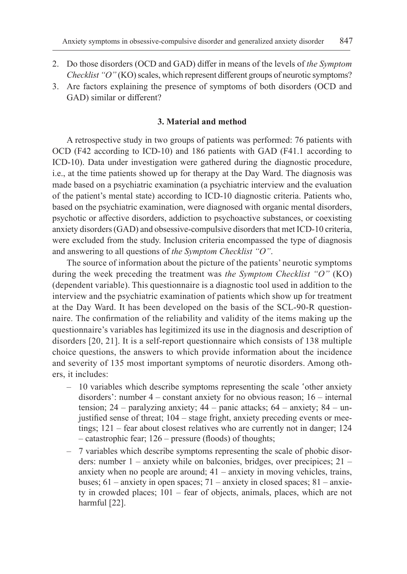- 2. Do those disorders (OCD and GAD) differ in means of the levels of *the Symptom Checklist "O"* (KO) scales, which represent different groups of neurotic symptoms?
- 3. Are factors explaining the presence of symptoms of both disorders (OCD and GAD) similar or different?

# **3. Material and method**

A retrospective study in two groups of patients was performed: 76 patients with OCD (F42 according to ICD-10) and 186 patients with GAD (F41.1 according to ICD-10). Data under investigation were gathered during the diagnostic procedure, i.e., at the time patients showed up for therapy at the Day Ward. The diagnosis was made based on a psychiatric examination (a psychiatric interview and the evaluation of the patient's mental state) according to ICD-10 diagnostic criteria. Patients who, based on the psychiatric examination, were diagnosed with organic mental disorders, psychotic or affective disorders, addiction to psychoactive substances, or coexisting anxiety disorders (GAD) and obsessive-compulsive disorders that met ICD-10 criteria, were excluded from the study. Inclusion criteria encompassed the type of diagnosis and answering to all questions of *the Symptom Checklist "O"*.

The source of information about the picture of the patients' neurotic symptoms during the week preceding the treatment was *the Symptom Checklist "O"* (KO) (dependent variable). This questionnaire is a diagnostic tool used in addition to the interview and the psychiatric examination of patients which show up for treatment at the Day Ward. It has been developed on the basis of the SCL-90-R questionnaire. The confirmation of the reliability and validity of the items making up the questionnaire's variables has legitimized its use in the diagnosis and description of disorders [20, 21]. It is a self-report questionnaire which consists of 138 multiple choice questions, the answers to which provide information about the incidence and severity of 135 most important symptoms of neurotic disorders. Among others, it includes:

- 10 variables which describe symptoms representing the scale 'other anxiety disorders': number 4 – constant anxiety for no obvious reason; 16 – internal tension; 24 – paralyzing anxiety; 44 – panic attacks; 64 – anxiety; 84 – unjustified sense of threat; 104 – stage fright, anxiety preceding events or meetings; 121 – fear about closest relatives who are currently not in danger; 124 – catastrophic fear; 126 – pressure (floods) of thoughts;
- 7 variables which describe symptoms representing the scale of phobic disorders: number 1 – anxiety while on balconies, bridges, over precipices; 21 – anxiety when no people are around; 41 – anxiety in moving vehicles, trains, buses; 61 – anxiety in open spaces; 71 – anxiety in closed spaces; 81 – anxiety in crowded places; 101 – fear of objects, animals, places, which are not harmful [22].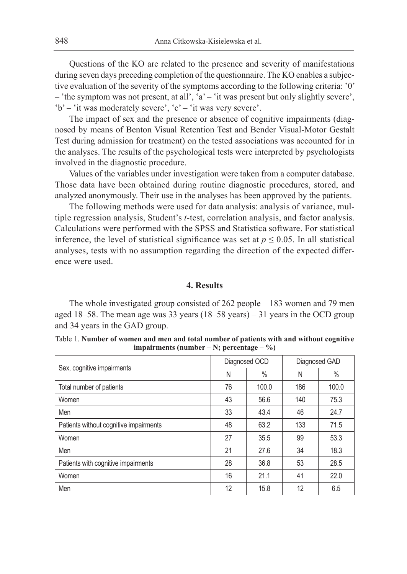Questions of the KO are related to the presence and severity of manifestations during seven days preceding completion of the questionnaire. The KO enables a subjective evaluation of the severity of the symptoms according to the following criteria: '0' – 'the symptom was not present, at all', 'a' – 'it was present but only slightly severe', 'b' – 'it was moderately severe', 'c' – 'it was very severe'.

The impact of sex and the presence or absence of cognitive impairments (diagnosed by means of Benton Visual Retention Test and Bender Visual-Motor Gestalt Test during admission for treatment) on the tested associations was accounted for in the analyses. The results of the psychological tests were interpreted by psychologists involved in the diagnostic procedure.

Values of the variables under investigation were taken from a computer database. Those data have been obtained during routine diagnostic procedures, stored, and analyzed anonymously. Their use in the analyses has been approved by the patients.

The following methods were used for data analysis: analysis of variance, multiple regression analysis, Student's *t*-test, correlation analysis, and factor analysis. Calculations were performed with the SPSS and Statistica software. For statistical inference, the level of statistical significance was set at  $p \le 0.05$ . In all statistical analyses, tests with no assumption regarding the direction of the expected difference were used.

### **4. Results**

The whole investigated group consisted of 262 people – 183 women and 79 men aged 18–58. The mean age was 33 years (18–58 years) – 31 years in the OCD group and 34 years in the GAD group.

| Table 1. Number of women and men and total number of patients with and without cognitive |  |  |
|------------------------------------------------------------------------------------------|--|--|
| impairments (number – N; percentage – $\%$ )                                             |  |  |
|                                                                                          |  |  |

|                                        |    | Diagnosed OCD |     | Diagnosed GAD |
|----------------------------------------|----|---------------|-----|---------------|
| Sex, cognitive impairments             | N  | $\%$          | N   | $\%$          |
| Total number of patients               | 76 | 100.0         | 186 | 100.0         |
| Women                                  | 43 | 56.6          | 140 | 75.3          |
| Men                                    | 33 | 43.4          | 46  | 24.7          |
| Patients without cognitive impairments | 48 | 63.2          | 133 | 71.5          |
| Women                                  | 27 | 35.5          | 99  | 53.3          |
| Men                                    | 21 | 27.6          | 34  | 18.3          |
| Patients with cognitive impairments    | 28 | 36.8          | 53  | 28.5          |
| Women                                  | 16 | 21.1          | 41  | 22.0          |
| Men                                    | 12 | 15.8          | 12  | 6.5           |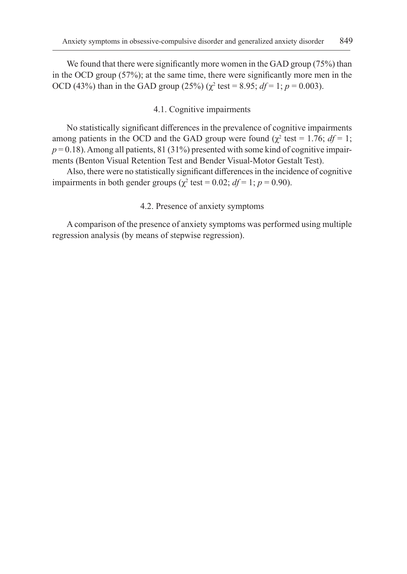We found that there were significantly more women in the GAD group (75%) than in the OCD group (57%); at the same time, there were significantly more men in the OCD (43%) than in the GAD group (25%) ( $\chi^2$  test = 8.95;  $df = 1$ ;  $p = 0.003$ ).

# 4.1. Cognitive impairments

No statistically significant differences in the prevalence of cognitive impairments among patients in the OCD and the GAD group were found  $(\chi^2 \text{ test} = 1.76; df = 1;$  $p = 0.18$ ). Among all patients, 81 (31%) presented with some kind of cognitive impairments (Benton Visual Retention Test and Bender Visual-Motor Gestalt Test).

Also, there were no statistically significant differences in the incidence of cognitive impairments in both gender groups ( $\chi^2$  test = 0.02;  $df = 1$ ;  $p = 0.90$ ).

## 4.2. Presence of anxiety symptoms

A comparison of the presence of anxiety symptoms was performed using multiple regression analysis (by means of stepwise regression).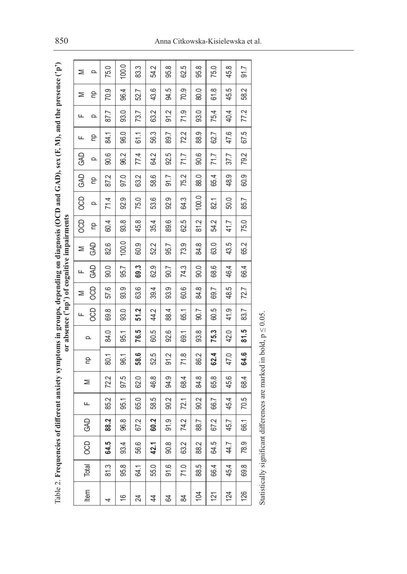|                |           | Table 2. Frequencies o    |      |      |      | of different anxiety symptoms in groups, depending on diagnosis (OCD and GAD), sex (F, M), and the presence ('p') |      |            |            |      | or absence ('np') of cognitive impairments |            |       |            |      |      |      |      |         |
|----------------|-----------|---------------------------|------|------|------|-------------------------------------------------------------------------------------------------------------------|------|------------|------------|------|--------------------------------------------|------------|-------|------------|------|------|------|------|---------|
|                |           |                           | GAD  |      |      |                                                                                                                   |      | щ          | ⋝          | ட    | ⋝                                          | <b>CCD</b> | 8     | <b>GAD</b> | GAD  | щ    | ட    | Σ    | ⋝       |
| tem            | Total     | <b>CCD</b>                |      | ட    | ⋝    | 은                                                                                                                 | Q    | <b>CCD</b> | <b>CCD</b> | GAD  | <b>GAD</b>                                 | 은          | Q     | 은          | Q    | 욷    | Q    | 은    | Q       |
| 4              | 81.3      | 64.5                      | 88.2 | 85.2 | 72.2 | 80.1                                                                                                              | 84.0 | 69.8       | 57.6       | 0.06 | 82.6                                       | 60.4       | 71.4  | 87.2       | 90.6 | 84.1 | 87.7 | 70.9 | 75.0    |
| $\frac{6}{1}$  | 95.8      | 93.4                      | 96.8 | 95.1 | 97.5 | 96.1                                                                                                              | 95.1 | 93.0       | 93.9       | 95.7 | 100.0                                      | 93.8       | 92.9  | 97.0       | 96.2 | 96.0 | 93.0 | 96.4 | 100.0   |
| 24             | 64.1      | 56.6                      | 67.2 | 65.0 | 62.0 | 58.6                                                                                                              | 76.5 | 51.2       | 63.6       | 69.3 | 60.9                                       | 45.8       | 75.0  | 63.2       | 77.4 | 61.1 | 73.7 | 52.7 | 83.3    |
| 4              | 55.0      | 42.1                      | 60.2 | 58.5 | 46.8 | 52.5                                                                                                              | 60.5 | 44.2       | 39.4       | 62.9 | 52.2                                       | 35.4       | 53.6  | 58.6       | 64.2 | 56.3 | 63.2 | 43.6 | Ņ<br>R. |
| 24             | 91.6      | 90.8                      | 91.9 | 90.2 | 94.9 | 91.2                                                                                                              | 92.6 | 88.4       | 93.9       | 90.7 | 95.7                                       | 89.6       | 92.9  | 91.7       | 92.5 | 89.7 | 91.2 | 94.5 | 95.8    |
| 84             | 71.0      | 63.2                      | 74.2 | 72.1 | 68.4 | 71.8                                                                                                              | 69.1 | 65.1       | 60.6       | 74.3 | 73.9                                       | 62.5       | 64.3  | 75.2       | 71.7 | 72.2 | 71.9 | 70.9 | 62.5    |
| $\overline{5}$ | بما<br>88 | 88.2                      | 88.7 | 90.2 | 84.8 | 86.2                                                                                                              | 93.8 | 90.7       | 84.8       | 0.06 | 84.8                                       | 81.2       | 100.0 | 88.0       | 90.6 | 88.9 | 93.0 | 80.0 | œ<br>கு |
| 121            | 66.4      | 64.5                      | 67.2 | 66.7 | 65.8 | 62.4                                                                                                              | 75.3 | 60.5       | 69.7       | 68.6 | 63.0                                       | 54.2       | 82.1  | 65.4       | 71.7 | 62.7 | 75.4 | 61.8 | 75.0    |
| 124            | 45.4      | 44.7                      | 45.7 | 45.4 | 45.6 | 47.0                                                                                                              | 42.0 | 41.9       | 48.5       | 46.4 | 43.5                                       | 41.7       | 50.0  | 48.9       | 37.7 | 47.6 | 40.4 | 45.5 | 45.8    |
| 126            | œ<br>စွှ  | 78.9                      | 66.1 | 70.5 | 68.4 | 64.6                                                                                                              | 81.5 | 83.7       | 72.7       | 66.4 | 65.2                                       | 75.0       | 85.7  | 60.9       | 79.2 | 67.5 | 77.2 | 58.2 | 91.7    |
|                |           | Statistically significant |      |      |      | differences are marked in bold, $p \leq 0.05$ .                                                                   |      |            |            |      |                                            |            |       |            |      |      |      |      |         |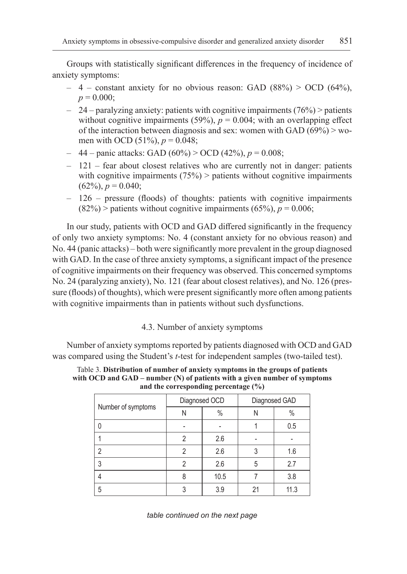Groups with statistically significant differences in the frequency of incidence of anxiety symptoms:

- $-4$  constant anxiety for no obvious reason: GAD (88%) > OCD (64%),  $p = 0.000$ ;
- $-24$  paralyzing anxiety: patients with cognitive impairments (76%) > patients without cognitive impairments (59%),  $p = 0.004$ ; with an overlapping effect of the interaction between diagnosis and sex: women with GAD  $(69\%)$   $>$  women with OCD (51%), *p* = 0.048;
- 44 panic attacks: GAD (60%) > OCD (42%), *p* = 0.008;
- 121 fear about closest relatives who are currently not in danger: patients with cognitive impairments  $(75%)$  > patients without cognitive impairments  $(62\%)$ ,  $p = 0.040$ ;
- 126 pressure (floods) of thoughts: patients with cognitive impairments  $(82\%)$  > patients without cognitive impairments  $(65\%)$ ,  $p = 0.006$ ;

In our study, patients with OCD and GAD differed significantly in the frequency of only two anxiety symptoms: No. 4 (constant anxiety for no obvious reason) and No. 44 (panic attacks) – both were significantly more prevalent in the group diagnosed with GAD. In the case of three anxiety symptoms, a significant impact of the presence of cognitive impairments on their frequency was observed. This concerned symptoms No. 24 (paralyzing anxiety), No. 121 (fear about closest relatives), and No. 126 (pressure (floods) of thoughts), which were present significantly more often among patients with cognitive impairments than in patients without such dysfunctions.

# 4.3. Number of anxiety symptoms

Number of anxiety symptoms reported by patients diagnosed with OCD and GAD was compared using the Student's *t*-test for independent samples (two-tailed test).

Table 3. **Distribution of number of anxiety symptoms in the groups of patients with OCD and GAD – number (N) of patients with a given number of symptoms and the corresponding percentage (%)**

|                    | Diagnosed OCD |      |   | Diagnosed GAD |
|--------------------|---------------|------|---|---------------|
| Number of symptoms | N             | $\%$ | N | $\%$          |
| 0                  |               |      |   | 0.5           |
|                    | 2             | 2.6  |   |               |
| 2                  | 2             | 2.6  | 3 | 1.6           |
| 3                  |               | 2.6  | 5 | 2.7           |
| 4                  | 8             | 10.5 |   | 3.8           |
| 5                  |               | 3.9  |   | 11.3          |

*table continued on the next page*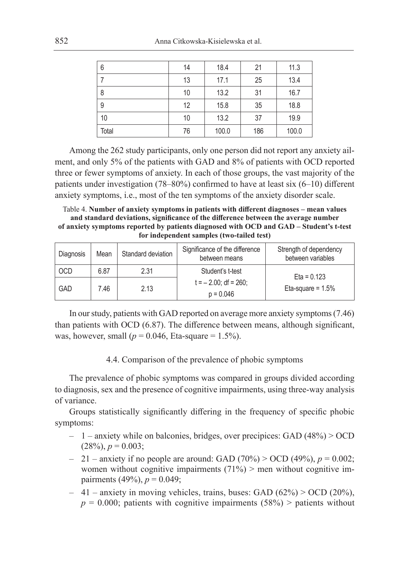| 6     | 14 | 18.4  | 21  | 11.3  |
|-------|----|-------|-----|-------|
|       | 13 | 17.1  | 25  | 13.4  |
| 8     | 10 | 13.2  | 31  | 16.7  |
| 9     | 12 | 15.8  | 35  | 18.8  |
| 10    | 10 | 13.2  | 37  | 19.9  |
| Total | 76 | 100.0 | 186 | 100.0 |

Among the 262 study participants, only one person did not report any anxiety ailment, and only 5% of the patients with GAD and 8% of patients with OCD reported three or fewer symptoms of anxiety. In each of those groups, the vast majority of the patients under investigation (78–80%) confirmed to have at least six (6–10) different anxiety symptoms, i.e., most of the ten symptoms of the anxiety disorder scale.

Table 4. **Number of anxiety symptoms in patients with different diagnoses – mean values and standard deviations, significance of the difference between the average number of anxiety symptoms reported by patients diagnosed with OCD and GAD – Student's t-test for independent samples (two-tailed test)**

| Diagnosis  | Mean | Standard deviation | Significance of the difference<br>between means | Strength of dependency<br>between variables |
|------------|------|--------------------|-------------------------------------------------|---------------------------------------------|
| <b>OCD</b> | 6.87 | 2.31               | Student's t-test                                | Eta = $0.123$                               |
| GAD        | 7.46 | 2.13               | $t = -2.00$ : df = 260:<br>$p = 0.046$          | Eta-square = $1.5%$                         |

In our study, patients with GAD reported on average more anxiety symptoms (7.46) than patients with OCD (6.87). The difference between means, although significant, was, however, small ( $p = 0.046$ , Eta-square = 1.5%).

### 4.4. Comparison of the prevalence of phobic symptoms

The prevalence of phobic symptoms was compared in groups divided according to diagnosis, sex and the presence of cognitive impairments, using three-way analysis of variance.

Groups statistically significantly differing in the frequency of specific phobic symptoms:

- 1 anxiety while on balconies, bridges, over precipices: GAD (48%) > OCD  $(28\%), p = 0.003;$
- $-21$  anxiety if no people are around: GAD (70%) > OCD (49%),  $p = 0.002$ ; women without cognitive impairments  $(71%)$  > men without cognitive impairments (49%),  $p = 0.049$ ;
- $-41$  anxiety in moving vehicles, trains, buses: GAD (62%) > OCD (20%),  $p = 0.000$ ; patients with cognitive impairments (58%) > patients without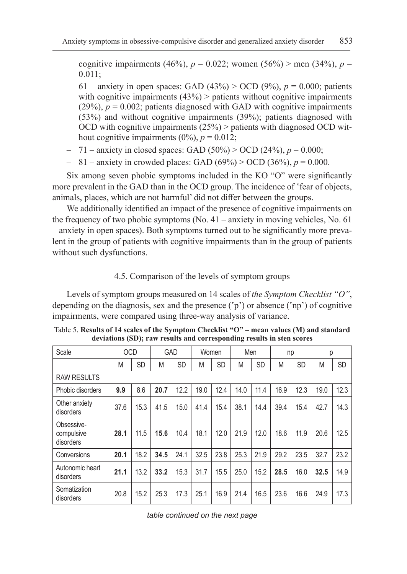cognitive impairments (46%),  $p = 0.022$ ; women (56%) > men (34%),  $p =$ 0.011;

- 61 anxiety in open spaces: GAD (43%) > OCD (9%), *p* = 0.000; patients with cognitive impairments  $(43%)$  > patients without cognitive impairments  $(29\%)$ ,  $p = 0.002$ ; patients diagnosed with GAD with cognitive impairments (53%) and without cognitive impairments (39%); patients diagnosed with OCD with cognitive impairments  $(25%)$  > patients with diagnosed OCD without cognitive impairments  $(0\%)$ ,  $p = 0.012$ ;
- 71 anxiety in closed spaces: GAD (50%) > OCD (24%), *p* = 0.000;
- $-$  81 anxiety in crowded places: GAD (69%) > OCD (36%),  $p = 0.000$ .

Six among seven phobic symptoms included in the KO "O" were significantly more prevalent in the GAD than in the OCD group. The incidence of 'fear of objects, animals, places, which are not harmful' did not differ between the groups.

We additionally identified an impact of the presence of cognitive impairments on the frequency of two phobic symptoms (No. 41 – anxiety in moving vehicles, No. 61 – anxiety in open spaces). Both symptoms turned out to be significantly more prevalent in the group of patients with cognitive impairments than in the group of patients without such dysfunctions.

## 4.5. Comparison of the levels of symptom groups

Levels of symptom groups measured on 14 scales of *the Symptom Checklist "O"*, depending on the diagnosis, sex and the presence ('p') or absence ('np') of cognitive impairments, were compared using three-way analysis of variance.

| Scale                                 | <b>OCD</b> |           | <b>GAD</b> |           | Women |           | Men  |           | np   |           | р    |           |
|---------------------------------------|------------|-----------|------------|-----------|-------|-----------|------|-----------|------|-----------|------|-----------|
|                                       | M          | <b>SD</b> | M          | <b>SD</b> | Μ     | <b>SD</b> | M    | <b>SD</b> | M    | <b>SD</b> | M    | <b>SD</b> |
| <b>RAW RESULTS</b>                    |            |           |            |           |       |           |      |           |      |           |      |           |
| Phobic disorders                      | 9.9        | 8.6       | 20.7       | 12.2      | 19.0  | 12.4      | 14.0 | 11.4      | 16.9 | 12.3      | 19.0 | 12.3      |
| Other anxiety<br>disorders            | 37.6       | 15.3      | 41.5       | 15.0      | 41.4  | 15.4      | 38.1 | 14.4      | 39.4 | 15.4      | 42.7 | 14.3      |
| Obsessive-<br>compulsive<br>disorders | 28.1       | 11.5      | 15.6       | 10.4      | 18.1  | 12.0      | 21.9 | 12.0      | 18.6 | 11.9      | 20.6 | 12.5      |
| Conversions                           | 20.1       | 18.2      | 34.5       | 24.1      | 32.5  | 23.8      | 25.3 | 21.9      | 29.2 | 23.5      | 32.7 | 23.2      |
| Autonomic heart<br>disorders          | 21.1       | 13.2      | 33.2       | 15.3      | 31.7  | 15.5      | 25.0 | 15.2      | 28.5 | 16.0      | 32.5 | 14.9      |
| Somatization<br>disorders             | 20.8       | 15.2      | 25.3       | 17.3      | 25.1  | 16.9      | 21.4 | 16.5      | 23.6 | 16.6      | 24.9 | 17.3      |

Table 5. **Results of 14 scales of the Symptom Checklist "O" – mean values (M) and standard deviations (SD); raw results and corresponding results in sten scores**

*table continued on the next page*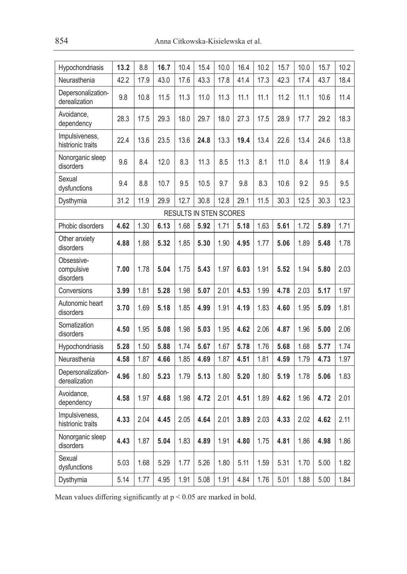| Hypochondriasis                       | 13.2 | 8.8  | 16.7 | 10.4 | 15.4                   | 10.0 | 16.4 | 10.2 | 15.7 | 10.0 | 15.7 | 10.2 |
|---------------------------------------|------|------|------|------|------------------------|------|------|------|------|------|------|------|
| Neurasthenia                          | 42.2 | 17.9 | 43.0 | 17.6 | 43.3                   | 17.8 | 41.4 | 17.3 | 42.3 | 17.4 | 43.7 | 18.4 |
| Depersonalization-<br>derealization   | 9.8  | 10.8 | 11.5 | 11.3 | 11.0                   | 11.3 | 11.1 | 11.1 | 11.2 | 11.1 | 10.6 | 11.4 |
| Avoidance.<br>dependency              | 28.3 | 17.5 | 29.3 | 18.0 | 29.7                   | 18.0 | 27.3 | 17.5 | 28.9 | 17.7 | 29.2 | 18.3 |
| Impulsiveness,<br>histrionic traits   | 22.4 | 13.6 | 23.5 | 13.6 | 24.8                   | 13.3 | 19.4 | 13.4 | 22.6 | 13.4 | 24.6 | 13.8 |
| Nonorganic sleep<br>disorders         | 9.6  | 8.4  | 12.0 | 8.3  | 11.3                   | 8.5  | 11.3 | 8.1  | 11.0 | 8.4  | 11.9 | 8.4  |
| Sexual<br>dysfunctions                | 9.4  | 8.8  | 10.7 | 9.5  | 10.5                   | 9.7  | 9.8  | 8.3  | 10.6 | 9.2  | 9.5  | 9.5  |
| Dysthymia                             | 31.2 | 11.9 | 29.9 | 12.7 | 30.8                   | 12.8 | 29.1 | 11.5 | 30.3 | 12.5 | 30.3 | 12.3 |
|                                       |      |      |      |      | RESULTS IN STEN SCORES |      |      |      |      |      |      |      |
| Phobic disorders                      | 4.62 | 1.30 | 6.13 | 1.68 | 5.92                   | 1.71 | 5.18 | 1.63 | 5.61 | 1.72 | 5.89 | 1.71 |
| Other anxiety<br>disorders            | 4.88 | 1.88 | 5.32 | 1.85 | 5.30                   | 1.90 | 4.95 | 1.77 | 5.06 | 1.89 | 5.48 | 1.78 |
| Obsessive-<br>compulsive<br>disorders | 7.00 | 1.78 | 5.04 | 1.75 | 5.43                   | 1.97 | 6.03 | 1.91 | 5.52 | 1.94 | 5.80 | 2.03 |
| Conversions                           | 3.99 | 1.81 | 5.28 | 1.98 | 5.07                   | 2.01 | 4.53 | 1.99 | 4.78 | 2.03 | 5.17 | 1.97 |
| Autonomic heart<br>disorders          | 3.70 | 1.69 | 5.18 | 1.85 | 4.99                   | 1.91 | 4.19 | 1.83 | 4.60 | 1.95 | 5.09 | 1.81 |
| Somatization<br>disorders             | 4.50 | 1.95 | 5.08 | 1.98 | 5.03                   | 1.95 | 4.62 | 2.06 | 4.87 | 1.96 | 5.00 | 2.06 |
| Hypochondriasis                       | 5.28 | 1.50 | 5.88 | 1.74 | 5.67                   | 1.67 | 5.78 | 1.76 | 5.68 | 1.68 | 5.77 | 1.74 |
| Neurasthenia                          | 4.58 | 1.87 | 4.66 | 1.85 | 4.69                   | 1.87 | 4.51 | 1.81 | 4.59 | 1.79 | 4.73 | 1.97 |
| Depersonalization-<br>derealization   | 4.96 | 1.80 | 5.23 | 1.79 | 5.13                   | 1.80 | 5.20 | 1.80 | 5.19 | 1.78 | 5.06 | 1.83 |
| Avoidance.<br>dependency              | 4.58 | 1.97 | 4.68 | 1.98 | 4.72                   | 2.01 | 4.51 | 1.89 | 4.62 | 1.96 | 4.72 | 2.01 |
| Impulsiveness,<br>histrionic traits   | 4.33 | 2.04 | 4.45 | 2.05 | 4.64                   | 2.01 | 3.89 | 2.03 | 4.33 | 2.02 | 4.62 | 2.11 |
| Nonorganic sleep<br>disorders         | 4.43 | 1.87 | 5.04 | 1.83 | 4.89                   | 1.91 | 4.80 | 1.75 | 4.81 | 1.86 | 4.98 | 1.86 |
| Sexual<br>dysfunctions                | 5.03 | 1.68 | 5.29 | 1.77 | 5.26                   | 1.80 | 5.11 | 1.59 | 5.31 | 1.70 | 5.00 | 1.82 |
| Dysthymia                             | 5.14 | 1.77 | 4.95 | 1.91 | 5.08                   | 1.91 | 4.84 | 1.76 | 5.01 | 1.88 | 5.00 | 1.84 |

Mean values differing significantly at  $p < 0.05$  are marked in bold.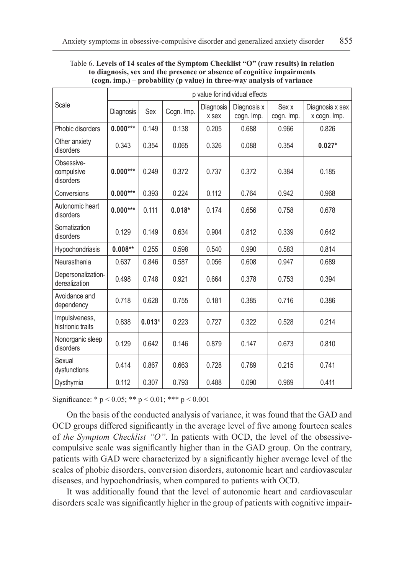|                                       |            |          |            |                    | p value for individual effects |                     |                                 |
|---------------------------------------|------------|----------|------------|--------------------|--------------------------------|---------------------|---------------------------------|
| Scale                                 | Diagnosis  | Sex      | Cogn. Imp. | Diagnosis<br>x sex | Diagnosis x<br>cogn. Imp.      | Sex x<br>cogn. Imp. | Diagnosis x sex<br>x cogn. Imp. |
| Phobic disorders                      | $0.000***$ | 0.149    | 0.138      | 0.205              | 0.688                          | 0.966               | 0.826                           |
| Other anxiety<br>disorders            | 0.343      | 0.354    | 0.065      | 0.326              | 0.088                          | 0.354               | $0.027*$                        |
| Obsessive-<br>compulsive<br>disorders | $0.000***$ | 0.249    | 0.372      | 0.737              | 0.372                          | 0.384               | 0.185                           |
| Conversions                           | $0.000***$ | 0.393    | 0.224      | 0.112              | 0.764                          | 0.942               | 0.968                           |
| Autonomic heart<br>disorders          | $0.000***$ | 0.111    | $0.018*$   | 0.174              | 0.656                          | 0.758               | 0.678                           |
| Somatization<br>disorders             | 0.129      | 0.149    | 0.634      | 0.904              | 0.812                          | 0.339               | 0.642                           |
| Hypochondriasis                       | $0.008**$  | 0.255    | 0.598      | 0.540              | 0.990                          | 0.583               | 0.814                           |
| Neurasthenia                          | 0.637      | 0.846    | 0.587      | 0.056              | 0.608                          | 0.947               | 0.689                           |
| Depersonalization-<br>derealization   | 0.498      | 0.748    | 0.921      | 0.664              | 0.378                          | 0.753               | 0.394                           |
| Avoidance and<br>dependency           | 0.718      | 0.628    | 0.755      | 0.181              | 0.385                          | 0.716               | 0.386                           |
| Impulsiveness,<br>histrionic traits   | 0.838      | $0.013*$ | 0.223      | 0.727              | 0.322                          | 0.528               | 0.214                           |
| Nonorganic sleep<br>disorders         | 0.129      | 0.642    | 0.146      | 0.879              | 0.147                          | 0.673               | 0.810                           |
| Sexual<br>dysfunctions                | 0.414      | 0.867    | 0.663      | 0.728              | 0.789                          | 0.215               | 0.741                           |
| Dysthymia                             | 0.112      | 0.307    | 0.793      | 0.488              | 0.090                          | 0.969               | 0.411                           |

Table 6. **Levels of 14 scales of the Symptom Checklist "O" (raw results) in relation to diagnosis, sex and the presence or absence of cognitive impairments (cogn. imp.) – probability (p value) in three-way analysis of variance**

Significance: \* p < 0.05; \*\* p < 0.01; \*\*\* p < 0.001

On the basis of the conducted analysis of variance, it was found that the GAD and OCD groups differed significantly in the average level of five among fourteen scales of *the Symptom Checklist "O"*. In patients with OCD, the level of the obsessivecompulsive scale was significantly higher than in the GAD group. On the contrary, patients with GAD were characterized by a significantly higher average level of the scales of phobic disorders, conversion disorders, autonomic heart and cardiovascular diseases, and hypochondriasis, when compared to patients with OCD.

It was additionally found that the level of autonomic heart and cardiovascular disorders scale was significantly higher in the group of patients with cognitive impair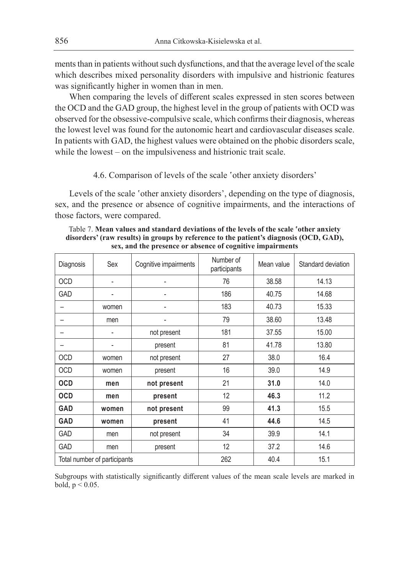ments than in patients without such dysfunctions, and that the average level of the scale which describes mixed personality disorders with impulsive and histrionic features was significantly higher in women than in men.

When comparing the levels of different scales expressed in sten scores between the OCD and the GAD group, the highest level in the group of patients with OCD was observed for the obsessive-compulsive scale, which confirms their diagnosis, whereas the lowest level was found for the autonomic heart and cardiovascular diseases scale. In patients with GAD, the highest values were obtained on the phobic disorders scale, while the lowest – on the impulsiveness and histrionic trait scale.

### 4.6. Comparison of levels of the scale 'other anxiety disorders'

Levels of the scale 'other anxiety disorders', depending on the type of diagnosis, sex, and the presence or absence of cognitive impairments, and the interactions of those factors, were compared.

| Diagnosis  | Sex                          | Cognitive impairments | Number of<br>participants | Mean value | Standard deviation |
|------------|------------------------------|-----------------------|---------------------------|------------|--------------------|
| <b>OCD</b> | $\overline{a}$               |                       | 76                        | 38.58      | 14.13              |
| <b>GAD</b> | $\overline{a}$               |                       | 186                       | 40.75      | 14.68              |
|            | women                        |                       | 183                       | 40.73      | 15.33              |
|            | men                          |                       | 79                        | 38.60      | 13.48              |
|            |                              | not present           | 181                       | 37.55      | 15.00              |
|            | $\overline{\phantom{m}}$     | present               | 81                        | 41.78      | 13.80              |
| OCD        | women                        | not present           | 27                        | 38.0       | 16.4               |
| <b>OCD</b> | women                        | present               | 16                        | 39.0       | 14.9               |
| <b>OCD</b> | men                          | not present           | 21                        | 31.0       | 14.0               |
| <b>OCD</b> | men                          | present               | 12                        | 46.3       | 11.2               |
| <b>GAD</b> | women                        | not present           | 99                        | 41.3       | 15.5               |
| <b>GAD</b> | women                        | present               | 41                        | 44.6       | 14.5               |
| <b>GAD</b> | men                          | not present           | 34                        | 39.9       | 14.1               |
| <b>GAD</b> | men                          | present               | 12                        | 37.2       | 14.6               |
|            | Total number of participants |                       | 262                       | 40.4       | 15.1               |

Table 7. **Mean values and standard deviations of the levels of the scale 'other anxiety disorders' (raw results) in groups by reference to the patient's diagnosis (OCD, GAD), sex, and the presence or absence of cognitive impairments**

Subgroups with statistically significantly different values of the mean scale levels are marked in bold,  $p < 0.05$ .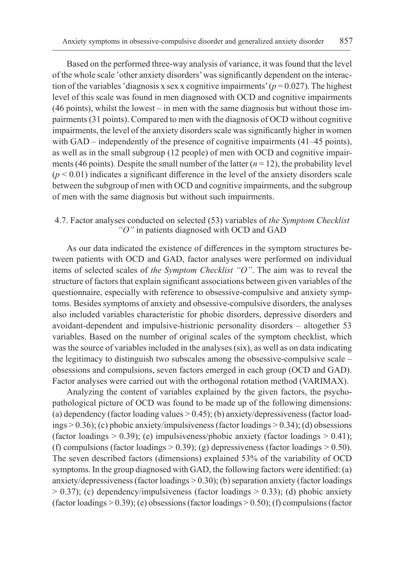Based on the performed three-way analysis of variance, it was found that the level of the whole scale 'other anxiety disorders' was significantly dependent on the interaction of the variables 'diagnosis x sex x cognitive impairments'  $(p = 0.027)$ . The highest level of this scale was found in men diagnosed with OCD and cognitive impairments (46 points), whilst the lowest – in men with the same diagnosis but without those impairments (31 points). Compared to men with the diagnosis of OCD without cognitive impairments, the level of the anxiety disorders scale was significantly higher in women with GAD – independently of the presence of cognitive impairments (41–45 points), as well as in the small subgroup (12 people) of men with OCD and cognitive impairments (46 points). Despite the small number of the latter  $(n = 12)$ , the probability level  $(p < 0.01)$  indicates a significant difference in the level of the anxiety disorders scale between the subgroup of men with OCD and cognitive impairments, and the subgroup of men with the same diagnosis but without such impairments.

# 4.7. Factor analyses conducted on selected (53) variables of *the Symptom Checklist "O"* in patients diagnosed with OCD and GAD

As our data indicated the existence of differences in the symptom structures between patients with OCD and GAD, factor analyses were performed on individual items of selected scales of *the Symptom Checklist "O"*. The aim was to reveal the structure of factors that explain significant associations between given variables of the questionnaire, especially with reference to obsessive-compulsive and anxiety symptoms. Besides symptoms of anxiety and obsessive-compulsive disorders, the analyses also included variables characteristic for phobic disorders, depressive disorders and avoidant-dependent and impulsive-histrionic personality disorders – altogether 53 variables. Based on the number of original scales of the symptom checklist, which was the source of variables included in the analyses (six), as well as on data indicating the legitimacy to distinguish two subscales among the obsessive-compulsive scale – obsessions and compulsions, seven factors emerged in each group (OCD and GAD). Factor analyses were carried out with the orthogonal rotation method (VARIMAX).

Analyzing the content of variables explained by the given factors, the psychopathological picture of OCD was found to be made up of the following dimensions: (a) dependency (factor loading values > 0.45); (b) anxiety/depressiveness (factor loadings > 0.36); (c) phobic anxiety/impulsiveness (factor loadings > 0.34); (d) obsessions (factor loadings  $> 0.39$ ); (e) impulsiveness/phobic anxiety (factor loadings  $> 0.41$ ); (f) compulsions (factor loadings  $> 0.39$ ); (g) depressiveness (factor loadings  $> 0.50$ ). The seven described factors (dimensions) explained 53% of the variability of OCD symptoms. In the group diagnosed with GAD, the following factors were identified: (a) anxiety/depressiveness (factor loadings  $> 0.30$ ); (b) separation anxiety (factor loadings  $> 0.37$ ); (c) dependency/impulsiveness (factor loadings  $> 0.33$ ); (d) phobic anxiety (factor loadings > 0.39); (e) obsessions (factor loadings > 0.50); (f) compulsions (factor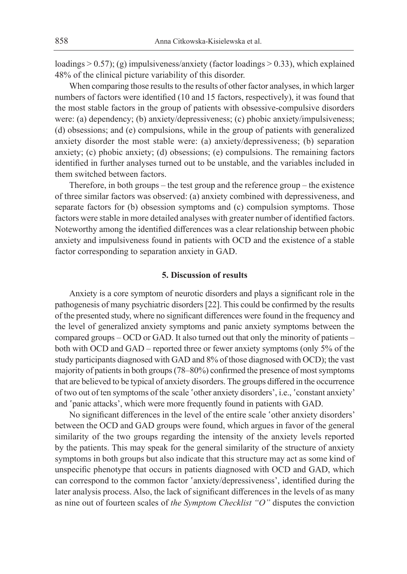loadings  $> 0.57$ ); (g) impulsiveness/anxiety (factor loadings  $> 0.33$ ), which explained 48% of the clinical picture variability of this disorder.

When comparing those results to the results of other factor analyses, in which larger numbers of factors were identified (10 and 15 factors, respectively), it was found that the most stable factors in the group of patients with obsessive-compulsive disorders were: (a) dependency; (b) anxiety/depressiveness; (c) phobic anxiety/impulsiveness; (d) obsessions; and (e) compulsions, while in the group of patients with generalized anxiety disorder the most stable were: (a) anxiety/depressiveness; (b) separation anxiety; (c) phobic anxiety; (d) obsessions; (e) compulsions. The remaining factors identified in further analyses turned out to be unstable, and the variables included in them switched between factors.

Therefore, in both groups – the test group and the reference group – the existence of three similar factors was observed: (a) anxiety combined with depressiveness, and separate factors for (b) obsession symptoms and (c) compulsion symptoms. Those factors were stable in more detailed analyses with greater number of identified factors. Noteworthy among the identified differences was a clear relationship between phobic anxiety and impulsiveness found in patients with OCD and the existence of a stable factor corresponding to separation anxiety in GAD.

### **5. Discussion of results**

Anxiety is a core symptom of neurotic disorders and plays a significant role in the pathogenesis of many psychiatric disorders [22]. This could be confirmed by the results of the presented study, where no significant differences were found in the frequency and the level of generalized anxiety symptoms and panic anxiety symptoms between the compared groups – OCD or GAD. It also turned out that only the minority of patients – both with OCD and GAD – reported three or fewer anxiety symptoms (only 5% of the study participants diagnosed with GAD and 8% of those diagnosed with OCD); the vast majority of patients in both groups (78–80%) confirmed the presence of most symptoms that are believed to be typical of anxiety disorders. The groups differed in the occurrence of two out of ten symptoms of the scale 'other anxiety disorders', i.e., 'constant anxiety' and 'panic attacks', which were more frequently found in patients with GAD.

No significant differences in the level of the entire scale 'other anxiety disorders' between the OCD and GAD groups were found, which argues in favor of the general similarity of the two groups regarding the intensity of the anxiety levels reported by the patients. This may speak for the general similarity of the structure of anxiety symptoms in both groups but also indicate that this structure may act as some kind of unspecific phenotype that occurs in patients diagnosed with OCD and GAD, which can correspond to the common factor 'anxiety/depressiveness', identified during the later analysis process. Also, the lack of significant differences in the levels of as many as nine out of fourteen scales of *the Symptom Checklist "O"* disputes the conviction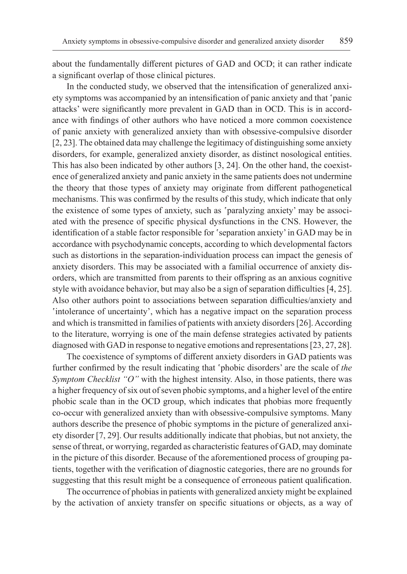about the fundamentally different pictures of GAD and OCD; it can rather indicate a significant overlap of those clinical pictures.

In the conducted study, we observed that the intensification of generalized anxiety symptoms was accompanied by an intensification of panic anxiety and that 'panic attacks' were significantly more prevalent in GAD than in OCD. This is in accordance with findings of other authors who have noticed a more common coexistence of panic anxiety with generalized anxiety than with obsessive-compulsive disorder [2, 23]. The obtained data may challenge the legitimacy of distinguishing some anxiety disorders, for example, generalized anxiety disorder, as distinct nosological entities. This has also been indicated by other authors [3, 24]. On the other hand, the coexistence of generalized anxiety and panic anxiety in the same patients does not undermine the theory that those types of anxiety may originate from different pathogenetical mechanisms. This was confirmed by the results of this study, which indicate that only the existence of some types of anxiety, such as 'paralyzing anxiety' may be associated with the presence of specific physical dysfunctions in the CNS. However, the identification of a stable factor responsible for 'separation anxiety' in GAD may be in accordance with psychodynamic concepts, according to which developmental factors such as distortions in the separation-individuation process can impact the genesis of anxiety disorders. This may be associated with a familial occurrence of anxiety disorders, which are transmitted from parents to their offspring as an anxious cognitive style with avoidance behavior, but may also be a sign of separation difficulties [4, 25]. Also other authors point to associations between separation difficulties/anxiety and 'intolerance of uncertainty', which has a negative impact on the separation process and which is transmitted in families of patients with anxiety disorders [26]. According to the literature, worrying is one of the main defense strategies activated by patients diagnosed with GAD in response to negative emotions and representations [23, 27, 28].

The coexistence of symptoms of different anxiety disorders in GAD patients was further confirmed by the result indicating that 'phobic disorders' are the scale of *the Symptom Checklist "O"* with the highest intensity. Also, in those patients, there was a higher frequency of six out of seven phobic symptoms, and a higher level of the entire phobic scale than in the OCD group, which indicates that phobias more frequently co-occur with generalized anxiety than with obsessive-compulsive symptoms. Many authors describe the presence of phobic symptoms in the picture of generalized anxiety disorder [7, 29]. Our results additionally indicate that phobias, but not anxiety, the sense of threat, or worrying, regarded as characteristic features of GAD, may dominate in the picture of this disorder. Because of the aforementioned process of grouping patients, together with the verification of diagnostic categories, there are no grounds for suggesting that this result might be a consequence of erroneous patient qualification.

The occurrence of phobias in patients with generalized anxiety might be explained by the activation of anxiety transfer on specific situations or objects, as a way of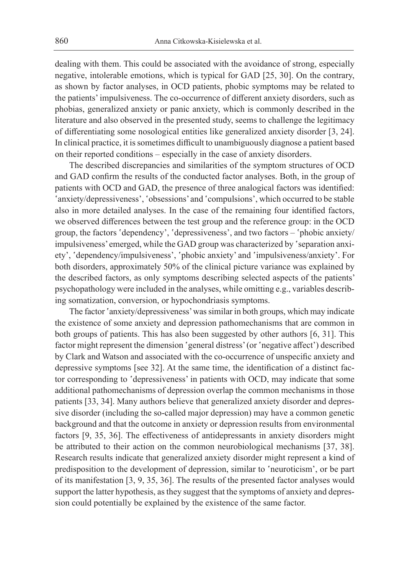dealing with them. This could be associated with the avoidance of strong, especially negative, intolerable emotions, which is typical for GAD [25, 30]. On the contrary, as shown by factor analyses, in OCD patients, phobic symptoms may be related to the patients' impulsiveness. The co-occurrence of different anxiety disorders, such as phobias, generalized anxiety or panic anxiety, which is commonly described in the literature and also observed in the presented study, seems to challenge the legitimacy of differentiating some nosological entities like generalized anxiety disorder [3, 24]. In clinical practice, it is sometimes difficult to unambiguously diagnose a patient based on their reported conditions – especially in the case of anxiety disorders.

The described discrepancies and similarities of the symptom structures of OCD and GAD confirm the results of the conducted factor analyses. Both, in the group of patients with OCD and GAD, the presence of three analogical factors was identified: 'anxiety/depressiveness', 'obsessions' and 'compulsions', which occurred to be stable also in more detailed analyses. In the case of the remaining four identified factors, we observed differences between the test group and the reference group: in the OCD group, the factors 'dependency', 'depressiveness', and two factors – 'phobic anxiety/ impulsiveness' emerged, while the GAD group was characterized by 'separation anxiety', 'dependency/impulsiveness', 'phobic anxiety' and 'impulsiveness/anxiety'. For both disorders, approximately 50% of the clinical picture variance was explained by the described factors, as only symptoms describing selected aspects of the patients' psychopathology were included in the analyses, while omitting e.g., variables describing somatization, conversion, or hypochondriasis symptoms.

The factor 'anxiety/depressiveness' was similar in both groups, which may indicate the existence of some anxiety and depression pathomechanisms that are common in both groups of patients. This has also been suggested by other authors [6, 31]. This factor might represent the dimension 'general distress' (or 'negative affect') described by Clark and Watson and associated with the co-occurrence of unspecific anxiety and depressive symptoms [see 32]. At the same time, the identification of a distinct factor corresponding to 'depressiveness' in patients with OCD, may indicate that some additional pathomechanisms of depression overlap the common mechanisms in those patients [33, 34]. Many authors believe that generalized anxiety disorder and depressive disorder (including the so-called major depression) may have a common genetic background and that the outcome in anxiety or depression results from environmental factors [9, 35, 36]. The effectiveness of antidepressants in anxiety disorders might be attributed to their action on the common neurobiological mechanisms [37, 38]. Research results indicate that generalized anxiety disorder might represent a kind of predisposition to the development of depression, similar to 'neuroticism', or be part of its manifestation [3, 9, 35, 36]. The results of the presented factor analyses would support the latter hypothesis, as they suggest that the symptoms of anxiety and depression could potentially be explained by the existence of the same factor.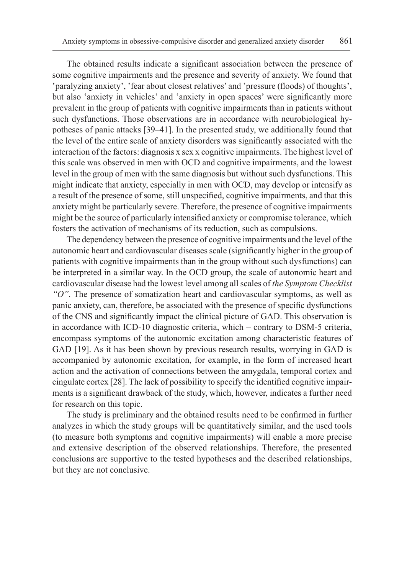The obtained results indicate a significant association between the presence of some cognitive impairments and the presence and severity of anxiety. We found that 'paralyzing anxiety', 'fear about closest relatives' and 'pressure (floods) of thoughts', but also 'anxiety in vehicles' and 'anxiety in open spaces' were significantly more prevalent in the group of patients with cognitive impairments than in patients without such dysfunctions. Those observations are in accordance with neurobiological hypotheses of panic attacks [39–41]. In the presented study, we additionally found that the level of the entire scale of anxiety disorders was significantly associated with the interaction of the factors: diagnosis x sex x cognitive impairments. The highest level of this scale was observed in men with OCD and cognitive impairments, and the lowest level in the group of men with the same diagnosis but without such dysfunctions. This might indicate that anxiety, especially in men with OCD, may develop or intensify as a result of the presence of some, still unspecified, cognitive impairments, and that this anxiety might be particularly severe. Therefore, the presence of cognitive impairments might be the source of particularly intensified anxiety or compromise tolerance, which fosters the activation of mechanisms of its reduction, such as compulsions.

The dependency between the presence of cognitive impairments and the level of the autonomic heart and cardiovascular diseases scale (significantly higher in the group of patients with cognitive impairments than in the group without such dysfunctions) can be interpreted in a similar way. In the OCD group, the scale of autonomic heart and cardiovascular disease had the lowest level among all scales of *the Symptom Checklist "O"*. The presence of somatization heart and cardiovascular symptoms, as well as panic anxiety, can, therefore, be associated with the presence of specific dysfunctions of the CNS and significantly impact the clinical picture of GAD. This observation is in accordance with ICD-10 diagnostic criteria, which – contrary to DSM-5 criteria, encompass symptoms of the autonomic excitation among characteristic features of GAD [19]. As it has been shown by previous research results, worrying in GAD is accompanied by autonomic excitation, for example, in the form of increased heart action and the activation of connections between the amygdala, temporal cortex and cingulate cortex [28]. The lack of possibility to specify the identified cognitive impairments is a significant drawback of the study, which, however, indicates a further need for research on this topic.

The study is preliminary and the obtained results need to be confirmed in further analyzes in which the study groups will be quantitatively similar, and the used tools (to measure both symptoms and cognitive impairments) will enable a more precise and extensive description of the observed relationships. Therefore, the presented conclusions are supportive to the tested hypotheses and the described relationships, but they are not conclusive.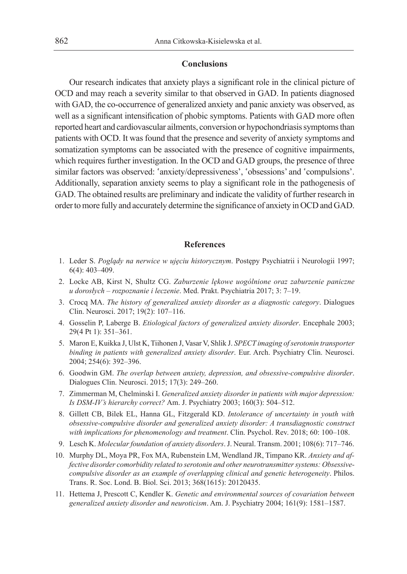### **Conclusions**

Our research indicates that anxiety plays a significant role in the clinical picture of OCD and may reach a severity similar to that observed in GAD. In patients diagnosed with GAD, the co-occurrence of generalized anxiety and panic anxiety was observed, as well as a significant intensification of phobic symptoms. Patients with GAD more often reported heart and cardiovascular ailments, conversion or hypochondriasis symptoms than patients with OCD. It was found that the presence and severity of anxiety symptoms and somatization symptoms can be associated with the presence of cognitive impairments, which requires further investigation. In the OCD and GAD groups, the presence of three similar factors was observed: 'anxiety/depressiveness', 'obsessions' and 'compulsions'. Additionally, separation anxiety seems to play a significant role in the pathogenesis of GAD. The obtained results are preliminary and indicate the validity of further research in order to more fully and accurately determine the significance of anxiety in OCD and GAD.

### **References**

- 1. Leder S. *Poglądy na nerwice w ujęciu historycznym*. Postępy Psychiatrii i Neurologii 1997; 6(4): 403–409.
- 2. Locke AB, Kirst N, Shultz CG. *Zaburzenie lękowe uogólnione oraz zaburzenie paniczne u dorosłych – rozpoznanie i leczenie*. Med. Prakt. Psychiatria 2017; 3: 7–19.
- 3. Crocq MA. *The history of generalized anxiety disorder as a diagnostic category*. Dialogues Clin. Neurosci. 2017; 19(2): 107–116.
- 4. Gosselin P, Laberge B. *Etiological factors of generalized anxiety disorder*. Encephale 2003; 29(4 Pt 1): 351–361.
- 5. Maron E, Kuikka J, Ulst K, Tiihonen J, Vasar V, Shlik J. *SPECT imaging of serotonin transporter binding in patients with generalized anxiety disorder*. Eur. Arch. Psychiatry Clin. Neurosci. 2004; 254(6): 392–396.
- 6. Goodwin GM. *The overlap between anxiety, depression, and obsessive-compulsive disorder*. Dialogues Clin. Neurosci. 2015; 17(3): 249–260.
- 7. Zimmerman M, Chelminski I. *Generalized anxiety disorder in patients with major depression: Is DSM-IV's hierarchy correct?* Am. J. Psychiatry 2003; 160(3): 504–512.
- 8. Gillett CB, Bilek EL, Hanna GL, Fitzgerald KD. *Intolerance of uncertainty in youth with obsessive-compulsive disorder and generalized anxiety disorder: A transdiagnostic construct with implications for phenomenology and treatment*. Clin. Psychol. Rev. 2018; 60: 100–108.
- 9. Lesch K. *Molecular foundation of anxiety disorders*. J. Neural. Transm. 2001; 108(6): 717–746.
- 10. Murphy DL, Moya PR, Fox MA, Rubenstein LM, Wendland JR, Timpano KR. *Anxiety and affective disorder comorbidity related to serotonin and other neurotransmitter systems: Obsessivecompulsive disorder as an example of overlapping clinical and genetic heterogeneity*. Philos. Trans. R. Soc. Lond. B. Biol. Sci. 2013; 368(1615): 20120435.
- 11. Hettema J, Prescott C, Kendler K. *Genetic and environmental sources of covariation between generalized anxiety disorder and neuroticism*. Am. J. Psychiatry 2004; 161(9): 1581–1587.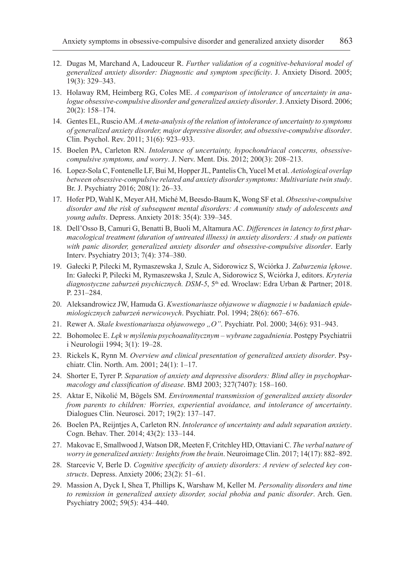- 12. Dugas M, Marchand A, Ladouceur R. *Further validation of a cognitive-behavioral model of generalized anxiety disorder: Diagnostic and symptom specificity*. J. Anxiety Disord. 2005; 19(3): 329–343.
- 13. Holaway RM, Heimberg RG, Coles ME. *A comparison of intolerance of uncertainty in analogue obsessive-compulsive disorder and generalized anxiety disorder*. J. Anxiety Disord. 2006; 20(2): 158–174.
- 14. Gentes EL, Ruscio AM. *A meta-analysis of the relation of intolerance of uncertainty to symptoms of generalized anxiety disorder, major depressive disorder, and obsessive-compulsive disorder*. Clin. Psychol. Rev. 2011; 31(6): 923–933.
- 15. Boelen PA, Carleton RN. *Intolerance of uncertainty, hypochondriacal concerns, obsessivecompulsive symptoms, and worry*. J. Nerv. Ment. Dis. 2012; 200(3): 208–213.
- 16. Lopez-Sola C, Fontenelle LF, Bui M, Hopper JL, Pantelis Ch, Yucel M et al. *Aetiological overlap between obsessive-compulsive related and anxiety disorder symptoms: Multivariate twin study*. Br. J. Psychiatry 2016; 208(1): 26–33.
- 17. Hofer PD, Wahl K, Meyer AH, Miché M, Beesdo-Baum K, Wong SF et al. *Obsessive-compulsive disorder and the risk of subsequent mental disorders: A community study of adolescents and young adults*. Depress. Anxiety 2018: 35(4): 339–345.
- 18. Dell'Osso B, Camuri G, Benatti B, Buoli M, Altamura AC. *Differences in latency to first pharmacological treatment (duration of untreated illness) in anxiety disorders: A study on patients with panic disorder, generalized anxiety disorder and obsessive-compulsive disorder*. Early Interv. Psychiatry 2013; 7(4): 374–380.
- 19. Gałecki P, Pilecki M, Rymaszewska J, Szulc A, Sidorowicz S, Wciórka J. *Zaburzenia lękowe*. In: Gałecki P, Pilecki M, Rymaszewska J, Szulc A, Sidorowicz S, Wciórka J, editors. *Kryteria diagnostyczne zaburzeń psychicznych. DSM-5*, 5<sup>th</sup> ed. Wroclaw: Edra Urban & Partner; 2018. P. 231–284.
- 20. Aleksandrowicz JW, Hamuda G. *Kwestionariusze objawowe w diagnozie i w badaniach epidemiologicznych zaburzeń nerwicowych*. Psychiatr. Pol. 1994; 28(6): 667–676.
- 21. Rewer A. *Skale kwestionariusza objawowego "O"*. Psychiatr. Pol. 2000; 34(6): 931–943.
- 22. Bohomolec E. *Lęk w myśleniu psychoanalitycznym wybrane zagadnienia*. Postępy Psychiatrii i Neurologii 1994; 3(1): 19–28.
- 23. Rickels K, Rynn M. *Overview and clinical presentation of generalized anxiety disorder*. Psychiatr. Clin. North. Am. 2001; 24(1): 1–17.
- 24. Shorter E, Tyrer P. *Separation of anxiety and depressive disorders: Blind alley in psychopharmacology and classification of disease*. BMJ 2003; 327(7407): 158–160.
- 25. Aktar E, Nikolić M, Bögels SM. *Environmental transmission of generalized anxiety disorder from parents to children: Worries, experiential avoidance, and intolerance of uncertainty*. Dialogues Clin. Neurosci. 2017; 19(2): 137–147.
- 26. Boelen PA, Reijntjes A, Carleton RN. *Intolerance of uncertainty and adult separation anxiety*. Cogn. Behav. Ther. 2014; 43(2): 133–144.
- 27. Makovac E, Smallwood J, Watson DR, Meeten F, Critchley HD, Ottaviani C. *The verbal nature of worry in generalized anxiety: Insights from the brain*. Neuroimage Clin. 2017; 14(17): 882–892.
- 28. Starcevic V, Berle D. *Cognitive specificity of anxiety disorders: A review of selected key constructs*. Depress. Anxiety 2006; 23(2): 51–61.
- 29. Massion A, Dyck I, Shea T, Phillips K, Warshaw M, Keller M. *Personality disorders and time to remission in generalized anxiety disorder, social phobia and panic disorder*. Arch. Gen. Psychiatry 2002; 59(5): 434–440.